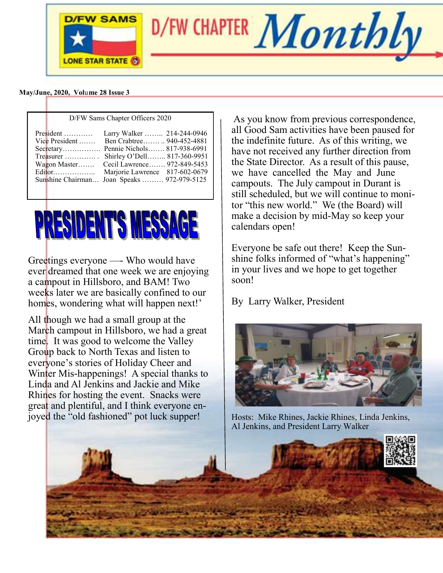

 **May/June, 2020, Vol**u**me 28 Issue 3**

| D/FW Sams Chapter Officers 2020                                                 |                                                                                                                                                                                                                                                 |
|---------------------------------------------------------------------------------|-------------------------------------------------------------------------------------------------------------------------------------------------------------------------------------------------------------------------------------------------|
| $President$<br>Vice President $\dots$<br>$T$ reasurer<br>Wagon Master<br>Editor | Larry Walker  214-244-0946<br>Ben Crabtree 940-452-4881<br>Secretary Pennie Nichols 817-938-6991<br>Shirley O'Dell 817-360-9951<br>Cecil Lawrence 972-849-5453<br>Marjorie Lawrence 817-602-0679<br>Sunshine Chairman Joan Speaks  972-979-5125 |



Greetings everyone —- Who would have ever dreamed that one week we are enjoying a campout in Hillsboro, and BAM! Two weeks later we are basically confined to our homes, wondering what will happen next!'

All though we had a small group at the March campout in Hillsboro, we had a great time. It was good to welcome the Valley Group back to North Texas and listen to everyone's stories of Holiday Cheer and Winter Mis-happenings! A special thanks to Linda and Al Jenkins and Jackie and Mike Rhines for hosting the event. Snacks were great and plentiful, and I think everyone enjoyed the "old fashioned" pot luck supper!

As you know from previous correspondence, all Good Sam activities have been paused for the indefinite future. As of this writing, we have not received any further direction from the State Director. As a result of this pause, we have cancelled the May and June campouts. The July campout in Durant is still scheduled, but we will continue to monitor "this new world." We (the Board) will make a decision by mid-May so keep your calendars open!

Everyone be safe out there! Keep the Sunshine folks informed of "what's happening" in your lives and we hope to get together soon!

By Larry Walker, President



Hosts: Mike Rhines, Jackie Rhines, Linda Jenkins, Al Jenkins, and President Larry Walker

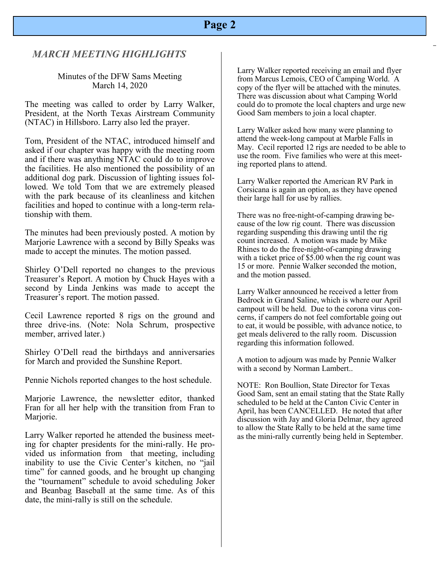#### **Page 2**

#### *MARCH MEETING HIGHLIGHTS*

#### Minutes of the DFW Sams Meeting March 14, 2020

The meeting was called to order by Larry Walker, President, at the North Texas Airstream Community (NTAC) in Hillsboro. Larry also led the prayer.

Tom, President of the NTAC, introduced himself and asked if our chapter was happy with the meeting room and if there was anything NTAC could do to improve the facilities. He also mentioned the possibility of an additional dog park. Discussion of lighting issues followed. We told Tom that we are extremely pleased with the park because of its cleanliness and kitchen facilities and hoped to continue with a long-term relationship with them.

The minutes had been previously posted. A motion by Marjorie Lawrence with a second by Billy Speaks was made to accept the minutes. The motion passed.

Shirley O'Dell reported no changes to the previous Treasurer's Report. A motion by Chuck Hayes with a second by Linda Jenkins was made to accept the Treasurer's report. The motion passed.

Cecil Lawrence reported 8 rigs on the ground and three drive-ins. (Note: Nola Schrum, prospective member, arrived later.)

Shirley O'Dell read the birthdays and anniversaries for March and provided the Sunshine Report.

Pennie Nichols reported changes to the host schedule.

Marjorie Lawrence, the newsletter editor, thanked Fran for all her help with the transition from Fran to Marjorie.

Larry Walker reported he attended the business meeting for chapter presidents for the mini-rally. He provided us information from that meeting, including inability to use the Civic Center's kitchen, no "jail time" for canned goods, and he brought up changing the "tournament" schedule to avoid scheduling Joker and Beanbag Baseball at the same time. As of this date, the mini-rally is still on the schedule.

Larry Walker reported receiving an email and flyer from Marcus Lemois, CEO of Camping World. A copy of the flyer will be attached with the minutes. There was discussion about what Camping World could do to promote the local chapters and urge new Good Sam members to join a local chapter.

Larry Walker asked how many were planning to attend the week-long campout at Marble Falls in May. Cecil reported 12 rigs are needed to be able to use the room. Five families who were at this meeting reported plans to attend.

Larry Walker reported the American RV Park in Corsicana is again an option, as they have opened their large hall for use by rallies.

There was no free-night-of-camping drawing because of the low rig count. There was discussion regarding suspending this drawing until the rig count increased. A motion was made by Mike Rhines to do the free-night-of-camping drawing with a ticket price of \$5.00 when the rig count was 15 or more. Pennie Walker seconded the motion, and the motion passed.

Larry Walker announced he received a letter from Bedrock in Grand Saline, which is where our April campout will be held. Due to the corona virus concerns, if campers do not feel comfortable going out to eat, it would be possible, with advance notice, to get meals delivered to the rally room. Discussion regarding this information followed.

A motion to adjourn was made by Pennie Walker with a second by Norman Lambert..

NOTE: Ron Boullion, State Director for Texas Good Sam, sent an email stating that the State Rally scheduled to be held at the Canton Civic Center in April, has been CANCELLED. He noted that after discussion with Jay and Gloria Delmar, they agreed to allow the State Rally to be held at the same time as the mini-rally currently being held in September.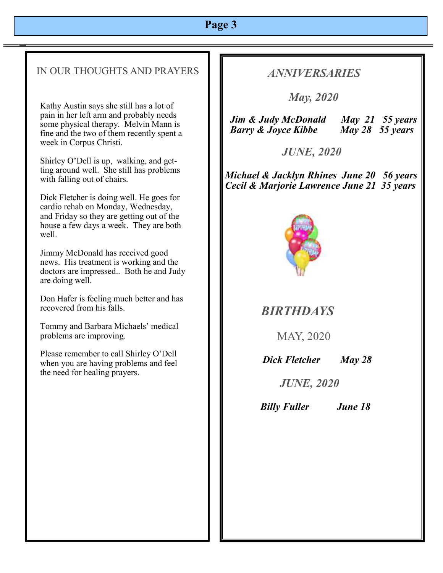# **Page 3**

#### IN OUR THOUGHTS AND PRAYERS

Kathy Austin says she still has a lot of pain in her left arm and probably needs some physical therapy. Melvin Mann is fine and the two of them recently spent a week in Corpus Christi.

Shirley O'Dell is up, walking, and getting around well. She still has problems with falling out of chairs.

Dick Fletcher is doing well. He goes for cardio rehab on Monday, Wednesday, and Friday so they are getting out of the house a few days a week. They are both well.

Jimmy McDonald has received good news. His treatment is working and the doctors are impressed.. Both he and Judy are doing well.

Don Hafer is feeling much better and has recovered from his falls.

Tommy and Barbara Michaels' medical problems are improving.

Please remember to call Shirley O'Dell when you are having problems and feel the need for healing prayers.

## *ANNIVERSARIES*

 *May, 2020* 

 *Jim & Judy McDonald May 21 55 years Barry & Joyce Kibbe May 28 55 years*

 *JUNE, 2020*

*Michael & Jacklyn Rhines June 20 56 years Cecil & Marjorie Lawrence June 21 35 years*



 *BIRTHDAYS* 

MAY, 2020

*Dick Fletcher May 28*

 *JUNE, 2020*

 *Billy Fuller June 18*